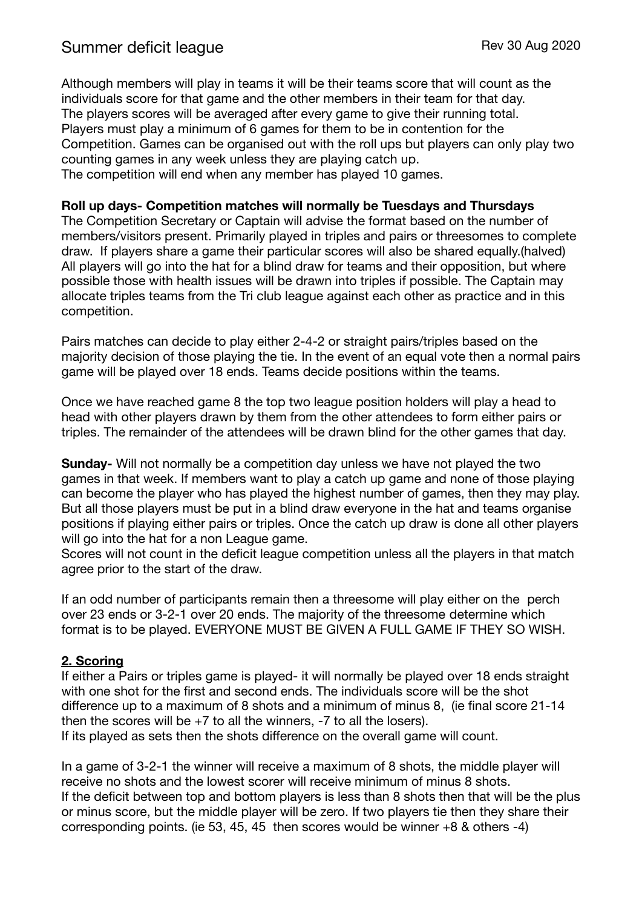Although members will play in teams it will be their teams score that will count as the individuals score for that game and the other members in their team for that day. The players scores will be averaged after every game to give their running total. Players must play a minimum of 6 games for them to be in contention for the Competition. Games can be organised out with the roll ups but players can only play two counting games in any week unless they are playing catch up. The competition will end when any member has played 10 games.

#### **Roll up days- Competition matches will normally be Tuesdays and Thursdays**

The Competition Secretary or Captain will advise the format based on the number of members/visitors present. Primarily played in triples and pairs or threesomes to complete draw. If players share a game their particular scores will also be shared equally.(halved) All players will go into the hat for a blind draw for teams and their opposition, but where possible those with health issues will be drawn into triples if possible. The Captain may allocate triples teams from the Tri club league against each other as practice and in this competition.

Pairs matches can decide to play either 2-4-2 or straight pairs/triples based on the majority decision of those playing the tie. In the event of an equal vote then a normal pairs game will be played over 18 ends. Teams decide positions within the teams.

Once we have reached game 8 the top two league position holders will play a head to head with other players drawn by them from the other attendees to form either pairs or triples. The remainder of the attendees will be drawn blind for the other games that day.

**Sunday-** Will not normally be a competition day unless we have not played the two games in that week. If members want to play a catch up game and none of those playing can become the player who has played the highest number of games, then they may play. But all those players must be put in a blind draw everyone in the hat and teams organise positions if playing either pairs or triples. Once the catch up draw is done all other players will go into the hat for a non League game.

Scores will not count in the deficit league competition unless all the players in that match agree prior to the start of the draw.

If an odd number of participants remain then a threesome will play either on the perch over 23 ends or 3-2-1 over 20 ends. The majority of the threesome determine which format is to be played. EVERYONE MUST BE GIVEN A FULL GAME IF THEY SO WISH.

#### **2. Scoring**

If either a Pairs or triples game is played- it will normally be played over 18 ends straight with one shot for the first and second ends. The individuals score will be the shot difference up to a maximum of 8 shots and a minimum of minus 8, (ie final score 21-14 then the scores will be  $+7$  to all the winners,  $-7$  to all the losers). If its played as sets then the shots difference on the overall game will count.

In a game of 3-2-1 the winner will receive a maximum of 8 shots, the middle player will receive no shots and the lowest scorer will receive minimum of minus 8 shots. If the deficit between top and bottom players is less than 8 shots then that will be the plus or minus score, but the middle player will be zero. If two players tie then they share their corresponding points. (ie 53, 45, 45 then scores would be winner +8 & others -4)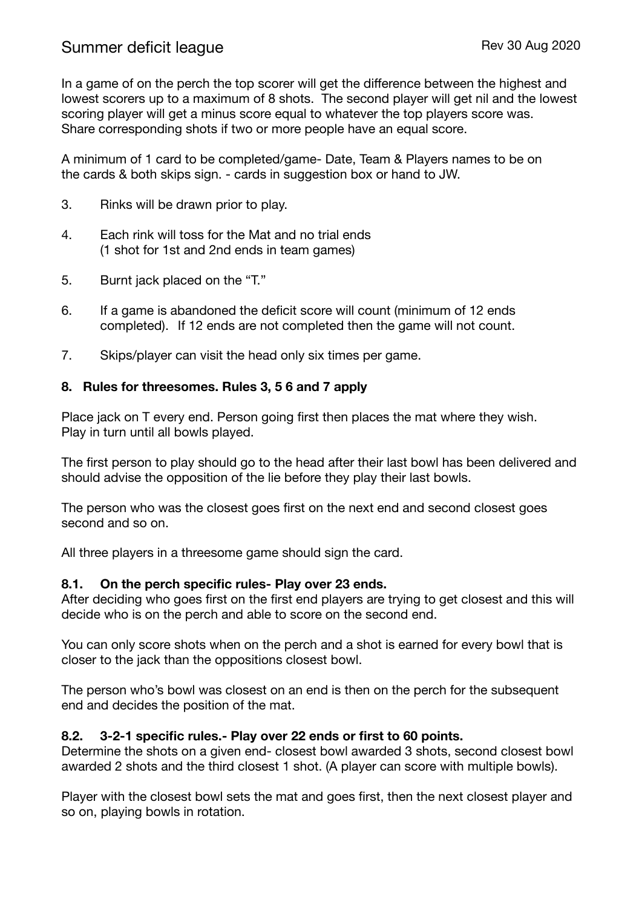In a game of on the perch the top scorer will get the difference between the highest and lowest scorers up to a maximum of 8 shots. The second player will get nil and the lowest scoring player will get a minus score equal to whatever the top players score was. Share corresponding shots if two or more people have an equal score.

A minimum of 1 card to be completed/game- Date, Team & Players names to be on the cards & both skips sign. - cards in suggestion box or hand to JW.

- 3. Rinks will be drawn prior to play.
- 4. Each rink will toss for the Mat and no trial ends (1 shot for 1st and 2nd ends in team games)
- 5. Burnt jack placed on the "T."
- 6. If a game is abandoned the deficit score will count (minimum of 12 ends completed). If 12 ends are not completed then the game will not count.
- 7. Skips/player can visit the head only six times per game.

### **8. Rules for threesomes. Rules 3, 5 6 and 7 apply**

Place jack on T every end. Person going first then places the mat where they wish. Play in turn until all bowls played.

The first person to play should go to the head after their last bowl has been delivered and should advise the opposition of the lie before they play their last bowls.

The person who was the closest goes first on the next end and second closest goes second and so on.

All three players in a threesome game should sign the card.

#### **8.1. On the perch specific rules- Play over 23 ends.**

After deciding who goes first on the first end players are trying to get closest and this will decide who is on the perch and able to score on the second end.

You can only score shots when on the perch and a shot is earned for every bowl that is closer to the jack than the oppositions closest bowl.

The person who's bowl was closest on an end is then on the perch for the subsequent end and decides the position of the mat.

## **8.2. 3-2-1 specific rules.- Play over 22 ends or first to 60 points.**

Determine the shots on a given end- closest bowl awarded 3 shots, second closest bowl awarded 2 shots and the third closest 1 shot. (A player can score with multiple bowls).

Player with the closest bowl sets the mat and goes first, then the next closest player and so on, playing bowls in rotation.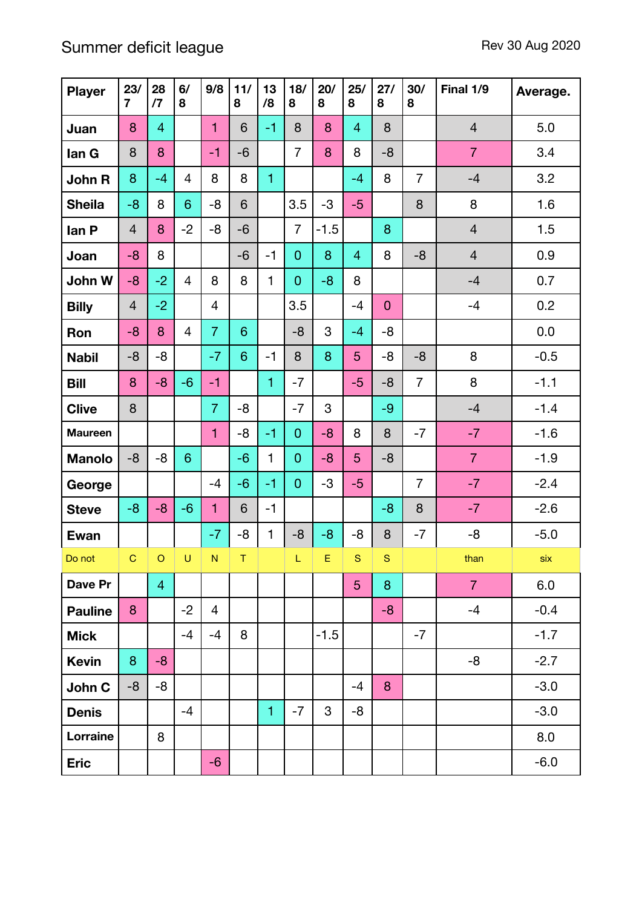# Summer deficit league Rev 30 Aug 2020

| <b>Player</b>  | 23/<br>$\overline{7}$ | 28<br>$\sqrt{7}$ | 6/<br>8        | 9/8            | 11/<br>8 | 13<br>/8     | 18/<br>8       | 20/<br>8    | 25/<br>8       | 27/<br>8     | 30/<br>8       | Final 1/9      | Average. |
|----------------|-----------------------|------------------|----------------|----------------|----------|--------------|----------------|-------------|----------------|--------------|----------------|----------------|----------|
| Juan           | 8                     | $\overline{4}$   |                | $\mathbf{1}$   | 6        | $-1$         | 8              | 8           | $\overline{4}$ | 8            |                | $\overline{4}$ | 5.0      |
| lan G          | 8                     | 8                |                | $-1$           | $-6$     |              | $\overline{7}$ | 8           | 8              | $-8$         |                | $\overline{7}$ | 3.4      |
| John R         | 8                     | $-4$             | 4              | 8              | 8        | $\mathbf{1}$ |                |             | $-4$           | 8            | $\overline{7}$ | $-4$           | 3.2      |
| <b>Sheila</b>  | $-8$                  | 8                | 6              | $-8$           | 6        |              | 3.5            | $-3$        | $-5$           |              | 8              | 8              | 1.6      |
| lan P          | $\overline{4}$        | 8                | $-2$           | -8             | $-6$     |              | $\overline{7}$ | $-1.5$      |                | 8            |                | $\overline{4}$ | 1.5      |
| Joan           | $-8$                  | 8                |                |                | $-6$     | $-1$         | $\mathbf 0$    | 8           | $\overline{4}$ | 8            | $-8$           | $\overline{4}$ | 0.9      |
| John W         | $-8$                  | $-2$             | 4              | 8              | 8        | 1            | $\mathbf 0$    | $-8$        | 8              |              |                | $-4$           | 0.7      |
| <b>Billy</b>   | $\overline{4}$        | $-2$             |                | $\overline{4}$ |          |              | 3.5            |             | $-4$           | $\mathbf{0}$ |                | $-4$           | 0.2      |
| Ron            | $-8$                  | 8                | 4              | $\overline{7}$ | 6        |              | $-8$           | 3           | $-4$           | -8           |                |                | 0.0      |
| <b>Nabil</b>   | -8                    | -8               |                | $-7$           | 6        | $-1$         | 8              | 8           | 5              | -8           | $-8$           | 8              | $-0.5$   |
| <b>Bill</b>    | 8                     | $-8$             | $-6$           | $-1$           |          | $\mathbf{1}$ | $-7$           |             | $-5$           | $-8$         | $\overline{7}$ | 8              | $-1.1$   |
| <b>Clive</b>   | 8                     |                  |                | $\overline{7}$ | $-8$     |              | $-7$           | 3           |                | $-9$         |                | $-4$           | $-1.4$   |
| <b>Maureen</b> |                       |                  |                | $\mathbf{1}$   | -8       | $-1$         | $\mathbf 0$    | $-8$        | 8              | 8            | $-7$           | $-7$           | $-1.6$   |
| <b>Manolo</b>  | -8                    | -8               | $6\phantom{1}$ |                | $-6$     | 1            | $\mathbf{0}$   | $-8$        | 5              | $-8$         |                | $\overline{7}$ | $-1.9$   |
| George         |                       |                  |                | $-4$           | $-6$     | $-1$         | $\overline{0}$ | -3          | $-5$           |              | $\overline{7}$ | $-7$           | $-2.4$   |
| <b>Steve</b>   | $-8$                  | $-8$             | $-6$           | $\mathbf{1}$   | 6        | $-1$         |                |             |                | $-8$         | 8              | $-7$           | $-2.6$   |
| Ewan           |                       |                  |                | $-7$           | -8       | $\mathbf{1}$ | $-8$           | $-8$        | -8             | 8            | $-7$           | -8             | $-5.0$   |
| Do not         | COU                   |                  |                | N              | $\top$   |              | L.             | $E_{\perp}$ | S              | S            |                | than           | six      |
| Dave Pr        |                       | $\overline{4}$   |                |                |          |              |                |             | 5 <sub>5</sub> | 8            |                | $\overline{7}$ | 6.0      |
| <b>Pauline</b> | 8                     |                  | $-2$           | 4              |          |              |                |             |                | $-8$         |                | $-4$           | $-0.4$   |
| <b>Mick</b>    |                       |                  | $-4$           | $-4$           | 8        |              |                | $-1.5$      |                |              | $-7$           |                | $-1.7$   |
| <b>Kevin</b>   | 8                     | $-8$             |                |                |          |              |                |             |                |              |                | -8             | $-2.7$   |
| John C         | -8                    | -8               |                |                |          |              |                |             | $-4$           | 8            |                |                | $-3.0$   |
| <b>Denis</b>   |                       |                  | $-4$           |                |          | $\mathbf{1}$ | $-7$           | 3           | -8             |              |                |                | $-3.0$   |
| Lorraine       |                       | 8                |                |                |          |              |                |             |                |              |                |                | 8.0      |
| <b>Eric</b>    |                       |                  |                | $-6$           |          |              |                |             |                |              |                |                | $-6.0$   |